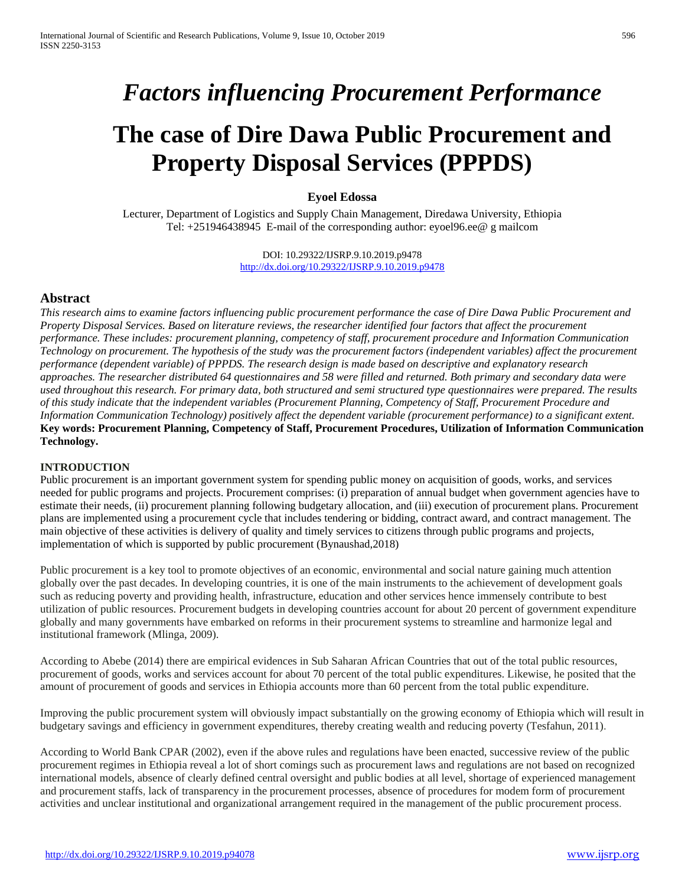# *Factors influencing Procurement Performance*

# **The case of Dire Dawa Public Procurement and Property Disposal Services (PPPDS)**

# **Eyoel Edossa**

Lecturer, Department of Logistics and Supply Chain Management, Diredawa University, Ethiopia Tel: +251946438945 E-mail of the corresponding author: eyoel96.ee@ g mailcom

> DOI: 10.29322/IJSRP.9.10.2019.p9478 <http://dx.doi.org/10.29322/IJSRP.9.10.2019.p9478>

# **Abstract**

*This research aims to examine factors influencing public procurement performance the case of Dire Dawa Public Procurement and Property Disposal Services. Based on literature reviews, the researcher identified four factors that affect the procurement performance. These includes: procurement planning, competency of staff, procurement procedure and Information Communication Technology on procurement. The hypothesis of the study was the procurement factors (independent variables) affect the procurement performance (dependent variable) of PPPDS. The research design is made based on descriptive and explanatory research approaches. The researcher distributed 64 questionnaires and 58 were filled and returned. Both primary and secondary data were used throughout this research. For primary data, both structured and semi structured type questionnaires were prepared. The results of this study indicate that the independent variables (Procurement Planning, Competency of Staff, Procurement Procedure and Information Communication Technology) positively affect the dependent variable (procurement performance) to a significant extent.*  **Key words: Procurement Planning, Competency of Staff, Procurement Procedures, Utilization of Information Communication Technology.**

## **INTRODUCTION**

Public procurement is an important government system for spending public money on acquisition of goods, works, and services needed for public programs and projects. Procurement comprises: (i) preparation of annual budget when government agencies have to estimate their needs, (ii) procurement planning following budgetary allocation, and (iii) execution of procurement plans. Procurement plans are implemented using a procurement cycle that includes tendering or bidding, contract award, and contract management. The main objective of these activities is delivery of quality and timely services to citizens through public programs and projects, implementation of which is supported by public procurement (Bynaushad,2018)

Public procurement is a key tool to promote objectives of an economic, environmental and social nature gaining much attention globally over the past decades. In developing countries, it is one of the main instruments to the achievement of development goals such as reducing poverty and providing health, infrastructure, education and other services hence immensely contribute to best utilization of public resources. Procurement budgets in developing countries account for about 20 percent of government expenditure globally and many governments have embarked on reforms in their procurement systems to streamline and harmonize legal and institutional framework (Mlinga, 2009).

According to Abebe (2014) there are empirical evidences in Sub Saharan African Countries that out of the total public resources, procurement of goods, works and services account for about 70 percent of the total public expenditures. Likewise, he posited that the amount of procurement of goods and services in Ethiopia accounts more than 60 percent from the total public expenditure.

Improving the public procurement system will obviously impact substantially on the growing economy of Ethiopia which will result in budgetary savings and efficiency in government expenditures, thereby creating wealth and reducing poverty (Tesfahun, 2011).

According to World Bank CPAR (2002), even if the above rules and regulations have been enacted, successive review of the public procurement regimes in Ethiopia reveal a lot of short comings such as procurement laws and regulations are not based on recognized international models, absence of clearly defined central oversight and public bodies at all level, shortage of experienced management and procurement staffs, lack of transparency in the procurement processes, absence of procedures for modem form of procurement activities and unclear institutional and organizational arrangement required in the management of the public procurement process.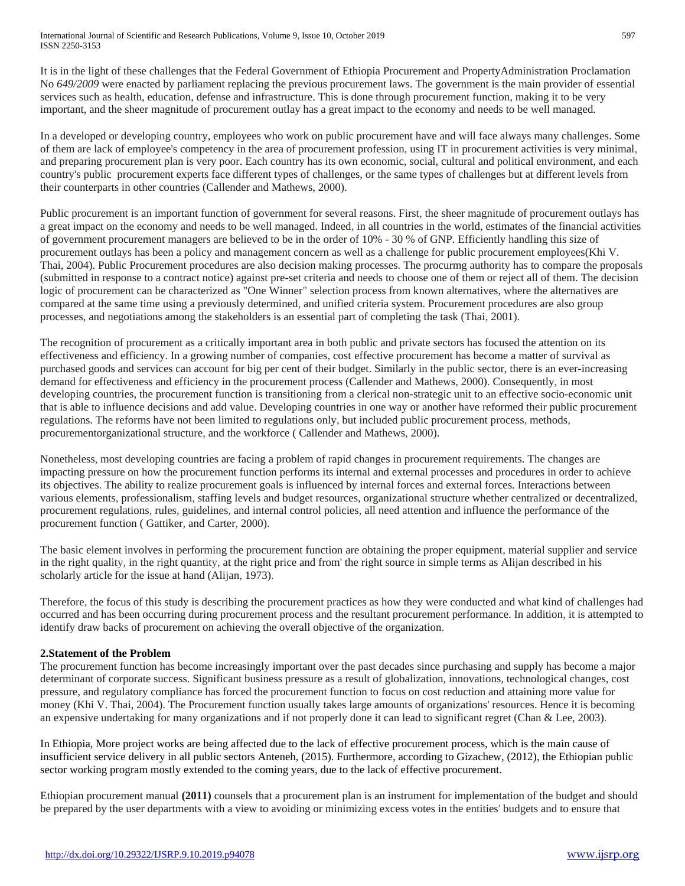It is in the light of these challenges that the Federal Government of Ethiopia Procurement and PropertyAdministration Proclamation No *649/2009* were enacted by parliament replacing the previous procurement laws. The government is the main provider of essential services such as health, education, defense and infrastructure. This is done through procurement function, making it to be very important, and the sheer magnitude of procurement outlay has a great impact to the economy and needs to be well managed.

In a developed or developing country, employees who work on public procurement have and will face always many challenges. Some of them are lack of employee's competency in the area of procurement profession, using IT in procurement activities is very minimal, and preparing procurement plan is very poor. Each country has its own economic, social, cultural and political environment, and each country's public procurement experts face different types of challenges, or the same types of challenges but at different levels from their counterparts in other countries (Callender and Mathews, 2000).

Public procurement is an important function of government for several reasons. First, the sheer magnitude of procurement outlays has a great impact on the economy and needs to be well managed. Indeed, in all countries in the world, estimates of the financial activities of government procurement managers are believed to be in the order of 10% - 30 % of GNP. Efficiently handling this size of procurement outlays has been a policy and management concern as well as a challenge for public procurement employees(Khi V. Thai, 2004). Public Procurement procedures are also decision making processes. The procurmg authority has to compare the proposals (submitted in response to a contract notice) against pre-set criteria and needs to choose one of them or reject all of them. The decision logic of procurement can be characterized as "One Winner" selection process from known alternatives, where the alternatives are compared at the same time using a previously determined, and unified criteria system. Procurement procedures are also group processes, and negotiations among the stakeholders is an essential part of completing the task (Thai, 2001).

The recognition of procurement as a critically important area in both public and private sectors has focused the attention on its effectiveness and efficiency. In a growing number of companies, cost effective procurement has become a matter of survival as purchased goods and services can account for big per cent of their budget. Similarly in the public sector, there is an ever-increasing demand for effectiveness and efficiency in the procurement process (Callender and Mathews, 2000). Consequently, in most developing countries, the procurement function is transitioning from a clerical non-strategic unit to an effective socio-economic unit that is able to influence decisions and add value. Developing countries in one way or another have reformed their public procurement regulations. The reforms have not been limited to regulations only, but included public procurement process, methods, procurementorganizational structure, and the workforce ( Callender and Mathews, 2000).

Nonetheless, most developing countries are facing a problem of rapid changes in procurement requirements. The changes are impacting pressure on how the procurement function performs its internal and external processes and procedures in order to achieve its objectives. The ability to realize procurement goals is influenced by internal forces and external forces. Interactions between various elements, professionalism, staffing levels and budget resources, organizational structure whether centralized or decentralized, procurement regulations, rules, guidelines, and internal control policies, all need attention and influence the performance of the procurement function ( Gattiker, and Carter, 2000).

The basic element involves in performing the procurement function are obtaining the proper equipment, material supplier and service in the right quality, in the right quantity, at the right price and from' the right source in simple terms as Alijan described in his scholarly article for the issue at hand (Alijan, 1973).

Therefore, the focus of this study is describing the procurement practices as how they were conducted and what kind of challenges had occurred and has been occurring during procurement process and the resultant procurement performance. In addition, it is attempted to identify draw backs of procurement on achieving the overall objective of the organization.

# **2.Statement of the Problem**

The procurement function has become increasingly important over the past decades since purchasing and supply has become a major determinant of corporate success. Significant business pressure as a result of globalization, innovations, technological changes, cost pressure, and regulatory compliance has forced the procurement function to focus on cost reduction and attaining more value for money (Khi V. Thai, 2004). The Procurement function usually takes large amounts of organizations' resources. Hence it is becoming an expensive undertaking for many organizations and if not properly done it can lead to significant regret (Chan & Lee, 2003).

In Ethiopia, More project works are being affected due to the lack of effective procurement process, which is the main cause of insufficient service delivery in all public sectors Anteneh, (2015). Furthermore, according to Gizachew, (2012), the Ethiopian public sector working program mostly extended to the coming years, due to the lack of effective procurement.

Ethiopian procurement manual **(2011)** counsels that a procurement plan is an instrument for implementation of the budget and should be prepared by the user departments with a view to avoiding or minimizing excess votes in the entities' budgets and to ensure that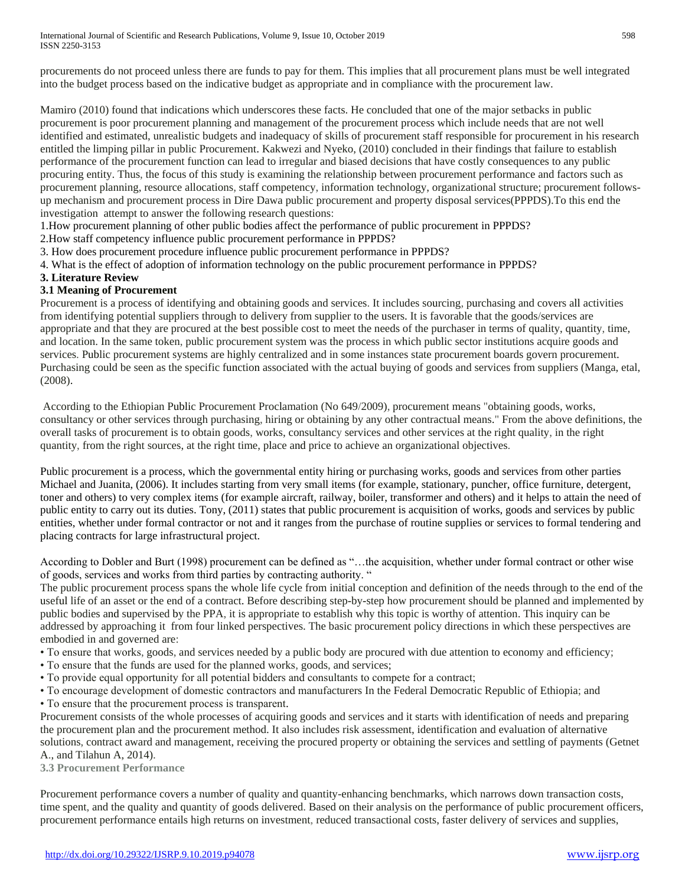procurements do not proceed unless there are funds to pay for them. This implies that all procurement plans must be well integrated into the budget process based on the indicative budget as appropriate and in compliance with the procurement law.

Mamiro (2010) found that indications which underscores these facts. He concluded that one of the major setbacks in public procurement is poor procurement planning and management of the procurement process which include needs that are not well identified and estimated, unrealistic budgets and inadequacy of skills of procurement staff responsible for procurement in his research entitled the limping pillar in public Procurement. Kakwezi and Nyeko, (2010) concluded in their findings that failure to establish performance of the procurement function can lead to irregular and biased decisions that have costly consequences to any public procuring entity. Thus, the focus of this study is examining the relationship between procurement performance and factors such as procurement planning, resource allocations, staff competency, information technology, organizational structure; procurement followsup mechanism and procurement process in Dire Dawa public procurement and property disposal services(PPPDS).To this end the investigation attempt to answer the following research questions:

1.How procurement planning of other public bodies affect the performance of public procurement in PPPDS?

2.How staff competency influence public procurement performance in PPPDS?

3. How does procurement procedure influence public procurement performance in PPPDS?

4. What is the effect of adoption of information technology on the public procurement performance in PPPDS?

#### **3. Literature Review**

#### **3.1 Meaning of Procurement**

Procurement is a process of identifying and obtaining goods and services. It includes sourcing, purchasing and covers all activities from identifying potential suppliers through to delivery from supplier to the users. It is favorable that the goods/services are appropriate and that they are procured at the best possible cost to meet the needs of the purchaser in terms of quality, quantity, time, and location. In the same token, public procurement system was the process in which public sector institutions acquire goods and services. Public procurement systems are highly centralized and in some instances state procurement boards govern procurement. Purchasing could be seen as the specific function associated with the actual buying of goods and services from suppliers (Manga, etal, (2008).

According to the Ethiopian Public Procurement Proclamation (No 649/2009), procurement means "obtaining goods, works, consultancy or other services through purchasing, hiring or obtaining by any other contractual means." From the above definitions, the overall tasks of procurement is to obtain goods, works, consultancy services and other services at the right quality, in the right quantity, from the right sources, at the right time, place and price to achieve an organizational objectives.

Public procurement is a process, which the governmental entity hiring or purchasing works, goods and services from other parties Michael and Juanita, (2006). It includes starting from very small items (for example, stationary, puncher, office furniture, detergent, toner and others) to very complex items (for example aircraft, railway, boiler, transformer and others) and it helps to attain the need of public entity to carry out its duties. Tony, (2011) states that public procurement is acquisition of works, goods and services by public entities, whether under formal contractor or not and it ranges from the purchase of routine supplies or services to formal tendering and placing contracts for large infrastructural project.

According to Dobler and Burt (1998) procurement can be defined as "…the acquisition, whether under formal contract or other wise of goods, services and works from third parties by contracting authority. "

The public procurement process spans the whole life cycle from initial conception and definition of the needs through to the end of the useful life of an asset or the end of a contract. Before describing step-by-step how procurement should be planned and implemented by public bodies and supervised by the PPA, it is appropriate to establish why this topic is worthy of attention. This inquiry can be addressed by approaching it from four linked perspectives. The basic procurement policy directions in which these perspectives are embodied in and governed are:

- To ensure that works, goods, and services needed by a public body are procured with due attention to economy and efficiency;
- To ensure that the funds are used for the planned works, goods, and services;
- To provide equal opportunity for all potential bidders and consultants to compete for a contract;
- To encourage development of domestic contractors and manufacturers In the Federal Democratic Republic of Ethiopia; and • To ensure that the procurement process is transparent.

Procurement consists of the whole processes of acquiring goods and services and it starts with identification of needs and preparing the procurement plan and the procurement method. It also includes risk assessment, identification and evaluation of alternative solutions, contract award and management, receiving the procured property or obtaining the services and settling of payments (Getnet A., and Tilahun A, 2014).

**3.3 Procurement Performance**

Procurement performance covers a number of quality and quantity-enhancing benchmarks, which narrows down transaction costs, time spent, and the quality and quantity of goods delivered. Based on their analysis on the performance of public procurement officers, procurement performance entails high returns on investment, reduced transactional costs, faster delivery of services and supplies,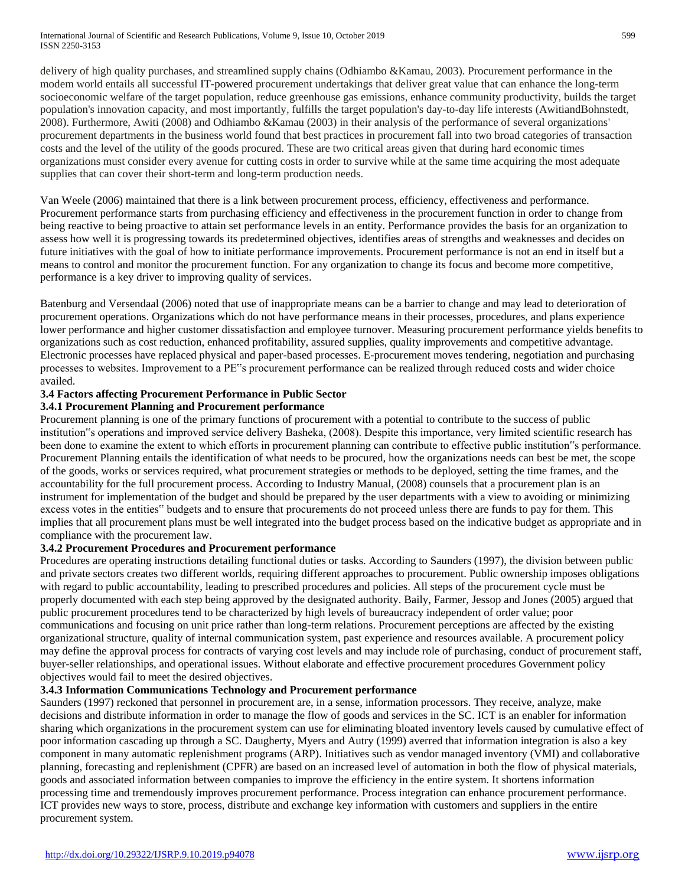delivery of high quality purchases, and streamlined supply chains (Odhiambo &Kamau, 2003). Procurement performance in the modem world entails all successful IT-powered procurement undertakings that deliver great value that can enhance the long-term socioeconomic welfare of the target population, reduce greenhouse gas emissions, enhance community productivity, builds the target population's innovation capacity, and most importantly, fulfills the target population's day-to-day life interests (AwitiandBohnstedt, 2008). Furthermore, Awiti (2008) and Odhiambo &Kamau (2003) in their analysis of the performance of several organizations' procurement departments in the business world found that best practices in procurement fall into two broad categories of transaction costs and the level of the utility of the goods procured. These are two critical areas given that during hard economic times organizations must consider every avenue for cutting costs in order to survive while at the same time acquiring the most adequate supplies that can cover their short-term and long-term production needs.

Van Weele (2006) maintained that there is a link between procurement process, efficiency, effectiveness and performance. Procurement performance starts from purchasing efficiency and effectiveness in the procurement function in order to change from being reactive to being proactive to attain set performance levels in an entity. Performance provides the basis for an organization to assess how well it is progressing towards its predetermined objectives, identifies areas of strengths and weaknesses and decides on future initiatives with the goal of how to initiate performance improvements. Procurement performance is not an end in itself but a means to control and monitor the procurement function. For any organization to change its focus and become more competitive, performance is a key driver to improving quality of services.

Batenburg and Versendaal (2006) noted that use of inappropriate means can be a barrier to change and may lead to deterioration of procurement operations. Organizations which do not have performance means in their processes, procedures, and plans experience lower performance and higher customer dissatisfaction and employee turnover. Measuring procurement performance yields benefits to organizations such as cost reduction, enhanced profitability, assured supplies, quality improvements and competitive advantage. Electronic processes have replaced physical and paper-based processes. E-procurement moves tendering, negotiation and purchasing processes to websites. Improvement to a PE"s procurement performance can be realized through reduced costs and wider choice availed.

# **3.4 Factors affecting Procurement Performance in Public Sector**

# **3.4.1 Procurement Planning and Procurement performance**

Procurement planning is one of the primary functions of procurement with a potential to contribute to the success of public institution"s operations and improved service delivery Basheka, (2008). Despite this importance, very limited scientific research has been done to examine the extent to which efforts in procurement planning can contribute to effective public institution"s performance. Procurement Planning entails the identification of what needs to be procured, how the organizations needs can best be met, the scope of the goods, works or services required, what procurement strategies or methods to be deployed, setting the time frames, and the accountability for the full procurement process. According to Industry Manual, (2008) counsels that a procurement plan is an instrument for implementation of the budget and should be prepared by the user departments with a view to avoiding or minimizing excess votes in the entities" budgets and to ensure that procurements do not proceed unless there are funds to pay for them. This implies that all procurement plans must be well integrated into the budget process based on the indicative budget as appropriate and in compliance with the procurement law.

# **3.4.2 Procurement Procedures and Procurement performance**

Procedures are operating instructions detailing functional duties or tasks. According to Saunders (1997), the division between public and private sectors creates two different worlds, requiring different approaches to procurement. Public ownership imposes obligations with regard to public accountability, leading to prescribed procedures and policies. All steps of the procurement cycle must be properly documented with each step being approved by the designated authority. Baily, Farmer, Jessop and Jones (2005) argued that public procurement procedures tend to be characterized by high levels of bureaucracy independent of order value; poor communications and focusing on unit price rather than long-term relations. Procurement perceptions are affected by the existing organizational structure, quality of internal communication system, past experience and resources available. A procurement policy may define the approval process for contracts of varying cost levels and may include role of purchasing, conduct of procurement staff, buyer-seller relationships, and operational issues. Without elaborate and effective procurement procedures Government policy objectives would fail to meet the desired objectives.

## **3.4.3 Information Communications Technology and Procurement performance**

Saunders (1997) reckoned that personnel in procurement are, in a sense, information processors. They receive, analyze, make decisions and distribute information in order to manage the flow of goods and services in the SC. ICT is an enabler for information sharing which organizations in the procurement system can use for eliminating bloated inventory levels caused by cumulative effect of poor information cascading up through a SC. Daugherty, Myers and Autry (1999) averred that information integration is also a key component in many automatic replenishment programs (ARP). Initiatives such as vendor managed inventory (VMI) and collaborative planning, forecasting and replenishment (CPFR) are based on an increased level of automation in both the flow of physical materials, goods and associated information between companies to improve the efficiency in the entire system. It shortens information processing time and tremendously improves procurement performance. Process integration can enhance procurement performance. ICT provides new ways to store, process, distribute and exchange key information with customers and suppliers in the entire procurement system.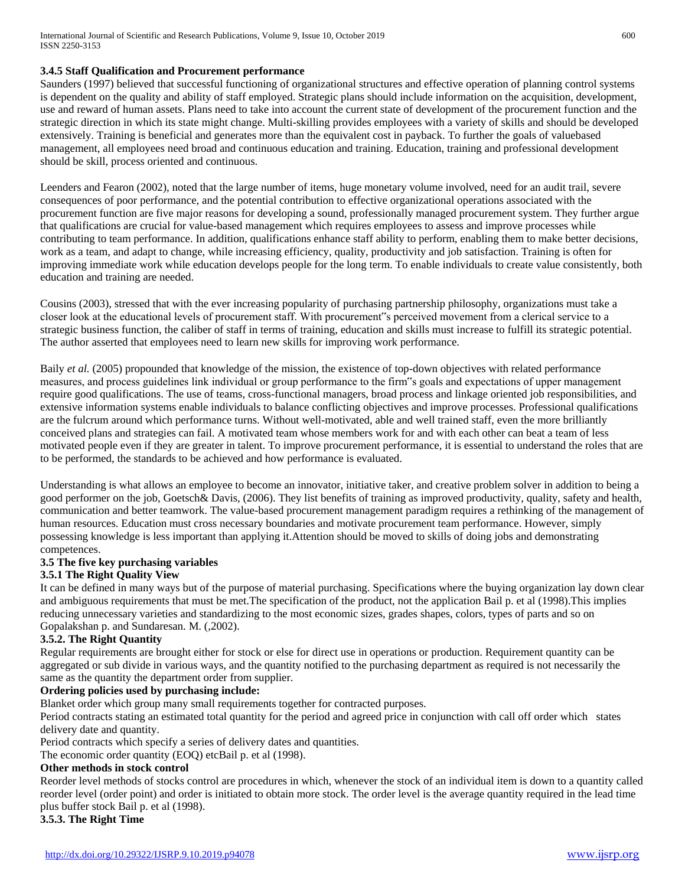## **3.4.5 Staff Qualification and Procurement performance**

Saunders (1997) believed that successful functioning of organizational structures and effective operation of planning control systems is dependent on the quality and ability of staff employed. Strategic plans should include information on the acquisition, development, use and reward of human assets. Plans need to take into account the current state of development of the procurement function and the strategic direction in which its state might change. Multi-skilling provides employees with a variety of skills and should be developed extensively. Training is beneficial and generates more than the equivalent cost in payback. To further the goals of valuebased management, all employees need broad and continuous education and training. Education, training and professional development should be skill, process oriented and continuous.

Leenders and Fearon (2002), noted that the large number of items, huge monetary volume involved, need for an audit trail, severe consequences of poor performance, and the potential contribution to effective organizational operations associated with the procurement function are five major reasons for developing a sound, professionally managed procurement system. They further argue that qualifications are crucial for value-based management which requires employees to assess and improve processes while contributing to team performance. In addition, qualifications enhance staff ability to perform, enabling them to make better decisions, work as a team, and adapt to change, while increasing efficiency, quality, productivity and job satisfaction. Training is often for improving immediate work while education develops people for the long term. To enable individuals to create value consistently, both education and training are needed.

Cousins (2003), stressed that with the ever increasing popularity of purchasing partnership philosophy, organizations must take a closer look at the educational levels of procurement staff. With procurement"s perceived movement from a clerical service to a strategic business function, the caliber of staff in terms of training, education and skills must increase to fulfill its strategic potential. The author asserted that employees need to learn new skills for improving work performance.

Baily *et al.* (2005) propounded that knowledge of the mission, the existence of top-down objectives with related performance measures, and process guidelines link individual or group performance to the firm"s goals and expectations of upper management require good qualifications. The use of teams, cross-functional managers, broad process and linkage oriented job responsibilities, and extensive information systems enable individuals to balance conflicting objectives and improve processes. Professional qualifications are the fulcrum around which performance turns. Without well-motivated, able and well trained staff, even the more brilliantly conceived plans and strategies can fail. A motivated team whose members work for and with each other can beat a team of less motivated people even if they are greater in talent. To improve procurement performance, it is essential to understand the roles that are to be performed, the standards to be achieved and how performance is evaluated.

Understanding is what allows an employee to become an innovator, initiative taker, and creative problem solver in addition to being a good performer on the job, Goetsch& Davis, (2006). They list benefits of training as improved productivity, quality, safety and health, communication and better teamwork. The value-based procurement management paradigm requires a rethinking of the management of human resources. Education must cross necessary boundaries and motivate procurement team performance. However, simply possessing knowledge is less important than applying it.Attention should be moved to skills of doing jobs and demonstrating competences.

## **3.5 The five key purchasing variables**

#### **3.5.1 The Right Quality View**

It can be defined in many ways but of the purpose of material purchasing. Specifications where the buying organization lay down clear and ambiguous requirements that must be met.The specification of the product, not the application Bail p. et al (1998).This implies reducing unnecessary varieties and standardizing to the most economic sizes, grades shapes, colors, types of parts and so on Gopalakshan p. and Sundaresan. M. (,2002).

# **3.5.2. The Right Quantity**

Regular requirements are brought either for stock or else for direct use in operations or production. Requirement quantity can be aggregated or sub divide in various ways, and the quantity notified to the purchasing department as required is not necessarily the same as the quantity the department order from supplier.

#### **Ordering policies used by purchasing include:**

Blanket order which group many small requirements together for contracted purposes.

Period contracts stating an estimated total quantity for the period and agreed price in conjunction with call off order which states delivery date and quantity.

Period contracts which specify a series of delivery dates and quantities.

The economic order quantity (EOQ) etcBail p. et al (1998).

# **Other methods in stock control**

Reorder level methods of stocks control are procedures in which, whenever the stock of an individual item is down to a quantity called reorder level (order point) and order is initiated to obtain more stock. The order level is the average quantity required in the lead time plus buffer stock Bail p. et al (1998).

**3.5.3. The Right Time**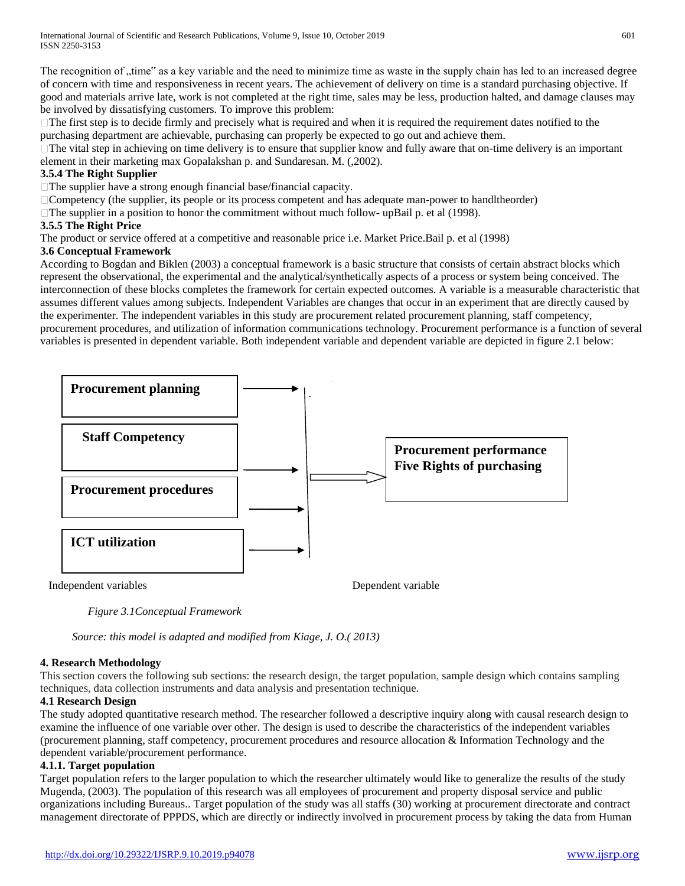The recognition of "time" as a key variable and the need to minimize time as waste in the supply chain has led to an increased degree of concern with time and responsiveness in recent years. The achievement of delivery on time is a standard purchasing objective. If good and materials arrive late, work is not completed at the right time, sales may be less, production halted, and damage clauses may be involved by dissatisfying customers. To improve this problem:

 $\Box$  The first step is to decide firmly and precisely what is required and when it is required the requirement dates notified to the purchasing department are achievable, purchasing can properly be expected to go out and achieve them.

 $\Box$  The vital step in achieving on time delivery is to ensure that supplier know and fully aware that on-time delivery is an important element in their marketing max Gopalakshan p. and Sundaresan. M. (,2002).

## **3.5.4 The Right Supplier**

 $\Box$  The supplier have a strong enough financial base/financial capacity.

Competency (the supplier, its people or its process competent and has adequate man-power to handltheorder)

 $\Box$  The supplier in a position to honor the commitment without much follow- upBail p. et al (1998).

## **3.5.5 The Right Price**

The product or service offered at a competitive and reasonable price i.e. Market Price.Bail p. et al (1998)

#### **3.6 Conceptual Framework**

According to Bogdan and Biklen (2003) a conceptual framework is a basic structure that consists of certain abstract blocks which represent the observational, the experimental and the analytical/synthetically aspects of a process or system being conceived. The interconnection of these blocks completes the framework for certain expected outcomes. A variable is a measurable characteristic that assumes different values among subjects. Independent Variables are changes that occur in an experiment that are directly caused by the experimenter. The independent variables in this study are procurement related procurement planning, staff competency, procurement procedures, and utilization of information communications technology. Procurement performance is a function of several variables is presented in dependent variable. Both independent variable and dependent variable are depicted in figure 2.1 below:



*Figure 3.1Conceptual Framework*

*Source: this model is adapted and modified from Kiage, J. O.( 2013)*

## **4. Research Methodology**

This section covers the following sub sections: the research design, the target population, sample design which contains sampling techniques, data collection instruments and data analysis and presentation technique.

## **4.1 Research Design**

The study adopted quantitative research method. The researcher followed a descriptive inquiry along with causal research design to examine the influence of one variable over other. The design is used to describe the characteristics of the independent variables (procurement planning, staff competency, procurement procedures and resource allocation & Information Technology and the dependent variable/procurement performance.

## **4.1.1. Target population**

Target population refers to the larger population to which the researcher ultimately would like to generalize the results of the study Mugenda, (2003). The population of this research was all employees of procurement and property disposal service and public organizations including Bureaus.. Target population of the study was all staffs (30) working at procurement directorate and contract management directorate of PPPDS, which are directly or indirectly involved in procurement process by taking the data from Human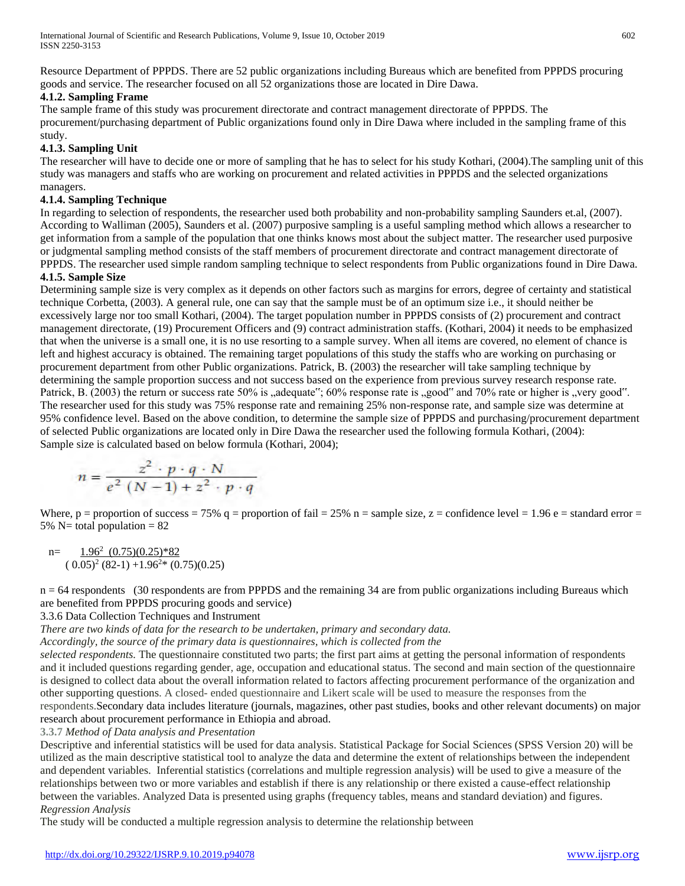Resource Department of PPPDS. There are 52 public organizations including Bureaus which are benefited from PPPDS procuring goods and service. The researcher focused on all 52 organizations those are located in Dire Dawa.

# **4.1.2. Sampling Frame**

The sample frame of this study was procurement directorate and contract management directorate of PPPDS. The procurement/purchasing department of Public organizations found only in Dire Dawa where included in the sampling frame of this study.

# **4.1.3. Sampling Unit**

The researcher will have to decide one or more of sampling that he has to select for his study Kothari, (2004).The sampling unit of this study was managers and staffs who are working on procurement and related activities in PPPDS and the selected organizations managers.

# **4.1.4. Sampling Technique**

In regarding to selection of respondents, the researcher used both probability and non-probability sampling Saunders et.al, (2007). According to Walliman (2005), Saunders et al. (2007) purposive sampling is a useful sampling method which allows a researcher to get information from a sample of the population that one thinks knows most about the subject matter. The researcher used purposive or judgmental sampling method consists of the staff members of procurement directorate and contract management directorate of PPPDS. The researcher used simple random sampling technique to select respondents from Public organizations found in Dire Dawa.

# **4.1.5. Sample Size**

Determining sample size is very complex as it depends on other factors such as margins for errors, degree of certainty and statistical technique Corbetta, (2003). A general rule, one can say that the sample must be of an optimum size i.e., it should neither be excessively large nor too small Kothari, (2004). The target population number in PPPDS consists of (2) procurement and contract management directorate, (19) Procurement Officers and (9) contract administration staffs. (Kothari, 2004) it needs to be emphasized that when the universe is a small one, it is no use resorting to a sample survey. When all items are covered, no element of chance is left and highest accuracy is obtained. The remaining target populations of this study the staffs who are working on purchasing or procurement department from other Public organizations. Patrick, B. (2003) the researcher will take sampling technique by determining the sample proportion success and not success based on the experience from previous survey research response rate. Patrick, B. (2003) the return or success rate 50% is "adequate"; 60% response rate is "good" and 70% rate or higher is "very good". The researcher used for this study was 75% response rate and remaining 25% non-response rate, and sample size was determine at 95% confidence level. Based on the above condition, to determine the sample size of PPPDS and purchasing/procurement department of selected Public organizations are located only in Dire Dawa the researcher used the following formula Kothari, (2004): Sample size is calculated based on below formula (Kothari, 2004);

$$
n = \frac{z^2 \cdot p \cdot q \cdot N}{e^2 \left(N - 1\right) + z^2 \cdot p \cdot q}
$$

Where,  $p =$  proportion of success = 75% q = proportion of fail = 25% n = sample size, z = confidence level = 1.96 e = standard error = 5% N= total population  $= 82$ 

n=
$$
\frac{1.96^2 (0.75)(0.25)^*82}{(0.05)^2 (82-1) + 1.96^{2*} (0.75)(0.25)}
$$

n = 64 respondents (30 respondents are from PPPDS and the remaining 34 are from public organizations including Bureaus which are benefited from PPPDS procuring goods and service)

# 3.3.6 Data Collection Techniques and Instrument

*There are two kinds of data for the research to be undertaken, primary and secondary data.*

*Accordingly, the source of the primary data is questionnaires, which is collected from the*

*selected respondents.* The questionnaire constituted two parts; the first part aims at getting the personal information of respondents and it included questions regarding gender, age, occupation and educational status. The second and main section of the questionnaire is designed to collect data about the overall information related to factors affecting procurement performance of the organization and other supporting questions. A closed- ended questionnaire and Likert scale will be used to measure the responses from the respondents.Secondary data includes literature (journals, magazines, other past studies, books and other relevant documents) on major research about procurement performance in Ethiopia and abroad.

## **3.3.7** *Method of Data analysis and Presentation*

Descriptive and inferential statistics will be used for data analysis. Statistical Package for Social Sciences (SPSS Version 20) will be utilized as the main descriptive statistical tool to analyze the data and determine the extent of relationships between the independent and dependent variables. Inferential statistics (correlations and multiple regression analysis) will be used to give a measure of the relationships between two or more variables and establish if there is any relationship or there existed a cause-effect relationship between the variables. Analyzed Data is presented using graphs (frequency tables, means and standard deviation) and figures. *Regression Analysis*

The study will be conducted a multiple regression analysis to determine the relationship between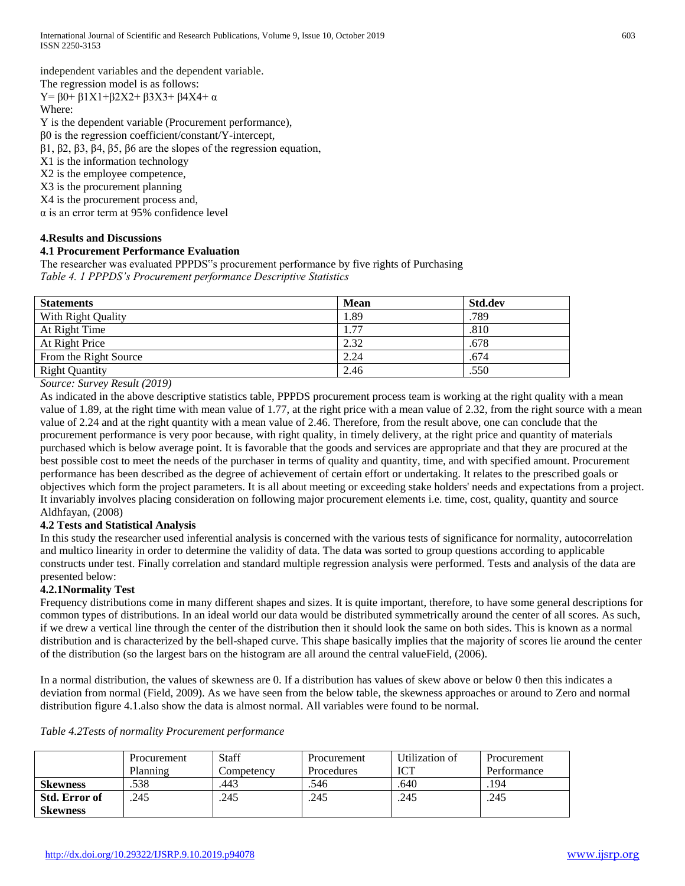independent variables and the dependent variable.

The regression model is as follows:

Y=  $β0+β1X1+β2X2+β3X3+β4X4+α$ Where:

Y is the dependent variable (Procurement performance),

β0 is the regression coefficient/constant/Y-intercept,

β1, β2, β3, β4, β5, β6 are the slopes of the regression equation,

X1 is the information technology

X2 is the employee competence,

X3 is the procurement planning

X4 is the procurement process and,

α is an error term at 95% confidence level

# **4.Results and Discussions**

# **4.1 Procurement Performance Evaluation**

The researcher was evaluated PPPDS"s procurement performance by five rights of Purchasing *Table 4. 1 PPPDS's Procurement performance Descriptive Statistics*

| <b>Statements</b>     | <b>Mean</b> | Std.dev |
|-----------------------|-------------|---------|
| With Right Quality    | 1.89        | .789    |
| At Right Time         | 1.77        | .810    |
| At Right Price        | 2.32        | .678    |
| From the Right Source | 2.24        | .674    |
| <b>Right Quantity</b> | 2.46        | .550    |

*Source: Survey Result (2019)*

As indicated in the above descriptive statistics table, PPPDS procurement process team is working at the right quality with a mean value of 1.89, at the right time with mean value of 1.77, at the right price with a mean value of 2.32, from the right source with a mean value of 2.24 and at the right quantity with a mean value of 2.46. Therefore, from the result above, one can conclude that the procurement performance is very poor because, with right quality, in timely delivery, at the right price and quantity of materials purchased which is below average point. It is favorable that the goods and services are appropriate and that they are procured at the best possible cost to meet the needs of the purchaser in terms of quality and quantity, time, and with specified amount. Procurement performance has been described as the degree of achievement of certain effort or undertaking. It relates to the prescribed goals or objectives which form the project parameters. It is all about meeting or exceeding stake holders' needs and expectations from a project. It invariably involves placing consideration on following major procurement elements i.e. time, cost, quality, quantity and source Aldhfayan, (2008)

# **4.2 Tests and Statistical Analysis**

In this study the researcher used inferential analysis is concerned with the various tests of significance for normality, autocorrelation and multico linearity in order to determine the validity of data. The data was sorted to group questions according to applicable constructs under test. Finally correlation and standard multiple regression analysis were performed. Tests and analysis of the data are presented below:

# **4.2.1Normality Test**

Frequency distributions come in many different shapes and sizes. It is quite important, therefore, to have some general descriptions for common types of distributions. In an ideal world our data would be distributed symmetrically around the center of all scores. As such, if we drew a vertical line through the center of the distribution then it should look the same on both sides. This is known as a normal distribution and is characterized by the bell-shaped curve. This shape basically implies that the majority of scores lie around the center of the distribution (so the largest bars on the histogram are all around the central valueField, (2006).

In a normal distribution, the values of skewness are 0. If a distribution has values of skew above or below 0 then this indicates a deviation from normal (Field, 2009). As we have seen from the below table, the skewness approaches or around to Zero and normal distribution figure 4.1.also show the data is almost normal. All variables were found to be normal.

| Table 4.2Tests of normality Procurement performance |  |  |
|-----------------------------------------------------|--|--|
|                                                     |  |  |

|                 | <b>Procurement</b><br>Planning | <b>Staff</b><br>Competency | <b>Procurement</b><br>Procedures | Utilization of<br><b>ICT</b> | Procurement<br>Performance |
|-----------------|--------------------------------|----------------------------|----------------------------------|------------------------------|----------------------------|
| <b>Skewness</b> | .538                           | .443                       | .546                             | .640                         | .194                       |
| Std. Error of   | 245                            | .245                       | .245                             | .245                         | .245                       |
| <b>Skewness</b> |                                |                            |                                  |                              |                            |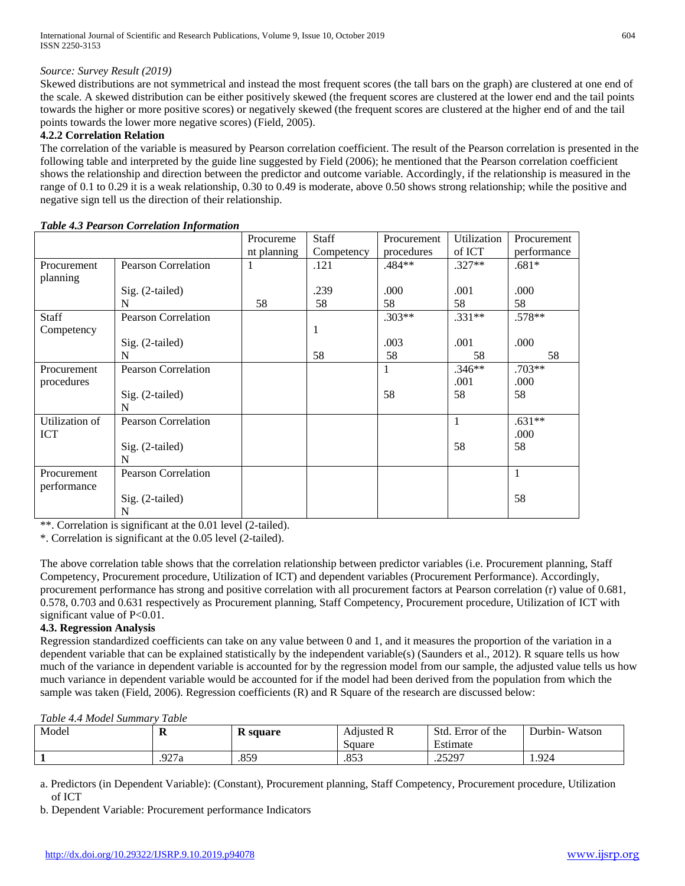# *Source: Survey Result (2019)*

Skewed distributions are not symmetrical and instead the most frequent scores (the tall bars on the graph) are clustered at one end of the scale. A skewed distribution can be either positively skewed (the frequent scores are clustered at the lower end and the tail points towards the higher or more positive scores) or negatively skewed (the frequent scores are clustered at the higher end of and the tail points towards the lower more negative scores) (Field, 2005).

## **4.2.2 Correlation Relation**

The correlation of the variable is measured by Pearson correlation coefficient. The result of the Pearson correlation is presented in the following table and interpreted by the guide line suggested by Field (2006); he mentioned that the Pearson correlation coefficient shows the relationship and direction between the predictor and outcome variable. Accordingly, if the relationship is measured in the range of 0.1 to 0.29 it is a weak relationship, 0.30 to 0.49 is moderate, above 0.50 shows strong relationship; while the positive and negative sign tell us the direction of their relationship.

|                |                            | Procureme   | Staff      | Procurement | Utilization | Procurement  |
|----------------|----------------------------|-------------|------------|-------------|-------------|--------------|
|                |                            | nt planning | Competency | procedures  | of ICT      | performance  |
| Procurement    | <b>Pearson Correlation</b> | 1           | .121       | .484**      | $.327**$    | $.681*$      |
| planning       |                            |             |            |             |             |              |
|                | $Sig. (2-tailed)$          |             | .239       | .000        | .001        | .000         |
|                | N                          | 58          | 58         | 58          | 58          | 58           |
| Staff          | <b>Pearson Correlation</b> |             |            | $.303**$    | $.331**$    | $.578**$     |
| Competency     |                            |             | 1          |             |             |              |
|                | Sig. (2-tailed)            |             |            | .003        | .001        | .000         |
|                | N                          |             | 58         | 58          | 58          | 58           |
| Procurement    | <b>Pearson Correlation</b> |             |            | 1           | $.346**$    | $.703**$     |
| procedures     |                            |             |            |             | .001        | .000         |
|                | Sig. (2-tailed)            |             |            | 58          | 58          | 58           |
|                | N                          |             |            |             |             |              |
| Utilization of | <b>Pearson Correlation</b> |             |            |             | 1           | $.631**$     |
| <b>ICT</b>     |                            |             |            |             |             | .000         |
|                | Sig. (2-tailed)            |             |            |             | 58          | 58           |
|                | N                          |             |            |             |             |              |
| Procurement    | <b>Pearson Correlation</b> |             |            |             |             | $\mathbf{1}$ |
| performance    |                            |             |            |             |             |              |
|                | Sig. (2-tailed)            |             |            |             |             | 58           |
|                | N                          |             |            |             |             |              |

#### *Table 4.3 Pearson Correlation Information*

\*\*. Correlation is significant at the 0.01 level (2-tailed).

\*. Correlation is significant at the 0.05 level (2-tailed).

The above correlation table shows that the correlation relationship between predictor variables (i.e. Procurement planning, Staff Competency, Procurement procedure, Utilization of ICT) and dependent variables (Procurement Performance). Accordingly, procurement performance has strong and positive correlation with all procurement factors at Pearson correlation (r) value of 0.681, 0.578, 0.703 and 0.631 respectively as Procurement planning, Staff Competency, Procurement procedure, Utilization of ICT with significant value of P<0.01.

## **4.3. Regression Analysis**

Regression standardized coefficients can take on any value between 0 and 1, and it measures the proportion of the variation in a dependent variable that can be explained statistically by the independent variable(s) (Saunders et al., 2012). R square tells us how much of the variance in dependent variable is accounted for by the regression model from our sample, the adjusted value tells us how much variance in dependent variable would be accounted for if the model had been derived from the population from which the sample was taken (Field, 2006). Regression coefficients (R) and R Square of the research are discussed below:

## *Table 4.4 Model Summary Table*

| -------------------------------- | ------- |                 |             |                        |                   |
|----------------------------------|---------|-----------------|-------------|------------------------|-------------------|
| Model                            | n       | <b>R</b> square | Adjusted R  | Std.<br>. Error of the | Watson<br>Durbin- |
|                                  |         |                 | Square      | ᠇<br>Estimate          |                   |
|                                  | .927a   | .859            | 952<br>.ده. | .25297                 | 1.924             |

a. Predictors (in Dependent Variable): (Constant), Procurement planning, Staff Competency, Procurement procedure, Utilization of ICT

b. Dependent Variable: Procurement performance Indicators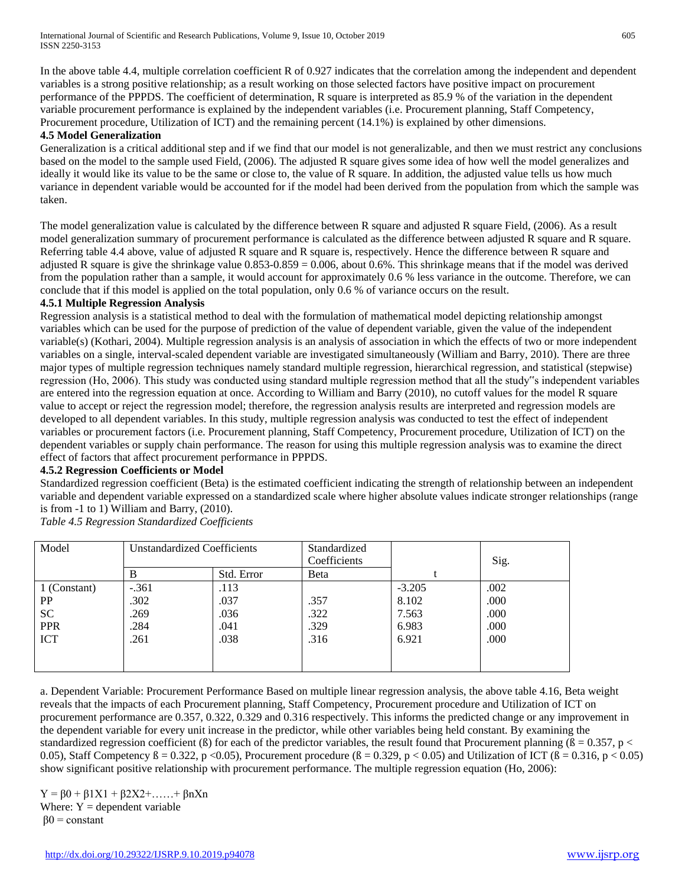In the above table 4.4, multiple correlation coefficient R of 0.927 indicates that the correlation among the independent and dependent variables is a strong positive relationship; as a result working on those selected factors have positive impact on procurement performance of the PPPDS. The coefficient of determination, R square is interpreted as 85.9 % of the variation in the dependent variable procurement performance is explained by the independent variables (i.e. Procurement planning, Staff Competency, Procurement procedure, Utilization of ICT) and the remaining percent (14.1%) is explained by other dimensions.

#### **4.5 Model Generalization**

Generalization is a critical additional step and if we find that our model is not generalizable, and then we must restrict any conclusions based on the model to the sample used Field, (2006). The adjusted R square gives some idea of how well the model generalizes and ideally it would like its value to be the same or close to, the value of R square. In addition, the adjusted value tells us how much variance in dependent variable would be accounted for if the model had been derived from the population from which the sample was taken.

The model generalization value is calculated by the difference between R square and adjusted R square Field, (2006). As a result model generalization summary of procurement performance is calculated as the difference between adjusted R square and R square. Referring table 4.4 above, value of adjusted R square and R square is, respectively. Hence the difference between R square and adjusted R square is give the shrinkage value 0.853-0.859 = 0.006, about 0.6%. This shrinkage means that if the model was derived from the population rather than a sample, it would account for approximately 0.6 % less variance in the outcome. Therefore, we can conclude that if this model is applied on the total population, only 0.6 % of variance occurs on the result.

#### **4.5.1 Multiple Regression Analysis**

Regression analysis is a statistical method to deal with the formulation of mathematical model depicting relationship amongst variables which can be used for the purpose of prediction of the value of dependent variable, given the value of the independent variable(s) (Kothari, 2004). Multiple regression analysis is an analysis of association in which the effects of two or more independent variables on a single, interval-scaled dependent variable are investigated simultaneously (William and Barry, 2010). There are three major types of multiple regression techniques namely standard multiple regression, hierarchical regression, and statistical (stepwise) regression (Ho, 2006). This study was conducted using standard multiple regression method that all the study"s independent variables are entered into the regression equation at once. According to William and Barry (2010), no cutoff values for the model R square value to accept or reject the regression model; therefore, the regression analysis results are interpreted and regression models are developed to all dependent variables. In this study, multiple regression analysis was conducted to test the effect of independent variables or procurement factors (i.e. Procurement planning, Staff Competency, Procurement procedure, Utilization of ICT) on the dependent variables or supply chain performance. The reason for using this multiple regression analysis was to examine the direct effect of factors that affect procurement performance in PPPDS.

## **4.5.2 Regression Coefficients or Model**

Standardized regression coefficient (Beta) is the estimated coefficient indicating the strength of relationship between an independent variable and dependent variable expressed on a standardized scale where higher absolute values indicate stronger relationships (range is from -1 to 1) William and Barry, (2010).

*Table 4.5 Regression Standardized Coefficients*

| Model        | <b>Unstandardized Coefficients</b> |            | Standardized |          |      |
|--------------|------------------------------------|------------|--------------|----------|------|
|              |                                    |            | Coefficients |          | Sig. |
|              | B                                  | Std. Error | Beta         |          |      |
| 1 (Constant) | $-.361$                            | .113       |              | $-3.205$ | .002 |
| PP           | .302                               | .037       | .357         | 8.102    | .000 |
| <b>SC</b>    | .269                               | .036       | .322         | 7.563    | .000 |
| <b>PPR</b>   | .284                               | .041       | .329         | 6.983    | .000 |
| <b>ICT</b>   | .261                               | .038       | .316         | 6.921    | .000 |
|              |                                    |            |              |          |      |
|              |                                    |            |              |          |      |

a. Dependent Variable: Procurement Performance Based on multiple linear regression analysis, the above table 4.16, Beta weight reveals that the impacts of each Procurement planning, Staff Competency, Procurement procedure and Utilization of ICT on procurement performance are 0.357, 0.322, 0.329 and 0.316 respectively. This informs the predicted change or any improvement in the dependent variable for every unit increase in the predictor, while other variables being held constant. By examining the standardized regression coefficient ( $\beta$ ) for each of the predictor variables, the result found that Procurement planning ( $\beta = 0.357$ , p < 0.05), Staff Competency  $\beta = 0.322$ , p < 0.05), Procurement procedure ( $\beta = 0.329$ , p < 0.05) and Utilization of ICT ( $\beta = 0.316$ , p < 0.05) show significant positive relationship with procurement performance. The multiple regression equation (Ho, 2006):

 $Y = \beta 0 + \beta 1X1 + \beta 2X2 + \dots + \beta nXn$ Where:  $Y =$  dependent variable  $β0 = constant$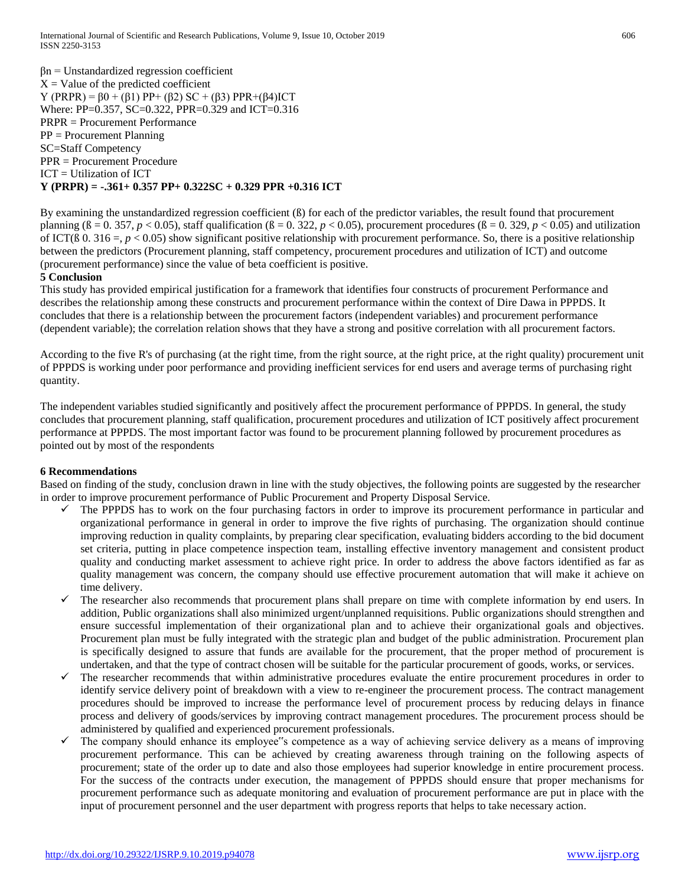$βn = Unstandardized regression coefficient$  $X =$  Value of the predicted coefficient Y (PRPR) = β0 + (β1) PP+ (β2) SC + (β3) PPR+(β4)ICT Where: PP=0.357, SC=0.322, PPR=0.329 and ICT=0.316 PRPR = Procurement Performance PP = Procurement Planning SC=Staff Competency PPR = Procurement Procedure ICT = Utilization of ICT **Y (PRPR) = -.361+ 0.357 PP+ 0.322SC + 0.329 PPR +0.316 ICT** 

By examining the unstandardized regression coefficient (ß) for each of the predictor variables, the result found that procurement planning ( $\beta = 0.357$ ,  $p < 0.05$ ), staff qualification ( $\beta = 0.322$ ,  $p < 0.05$ ), procurement procedures ( $\beta = 0.329$ ,  $p < 0.05$ ) and utilization of ICT( $\beta$  0. 316 =,  $p < 0.05$ ) show significant positive relationship with procurement performance. So, there is a positive relationship between the predictors (Procurement planning, staff competency, procurement procedures and utilization of ICT) and outcome (procurement performance) since the value of beta coefficient is positive.

#### **5 Conclusion**

This study has provided empirical justification for a framework that identifies four constructs of procurement Performance and describes the relationship among these constructs and procurement performance within the context of Dire Dawa in PPPDS. It concludes that there is a relationship between the procurement factors (independent variables) and procurement performance (dependent variable); the correlation relation shows that they have a strong and positive correlation with all procurement factors.

According to the five R's of purchasing (at the right time, from the right source, at the right price, at the right quality) procurement unit of PPPDS is working under poor performance and providing inefficient services for end users and average terms of purchasing right quantity.

The independent variables studied significantly and positively affect the procurement performance of PPPDS. In general, the study concludes that procurement planning, staff qualification, procurement procedures and utilization of ICT positively affect procurement performance at PPPDS. The most important factor was found to be procurement planning followed by procurement procedures as pointed out by most of the respondents

## **6 Recommendations**

Based on finding of the study, conclusion drawn in line with the study objectives, the following points are suggested by the researcher in order to improve procurement performance of Public Procurement and Property Disposal Service.

- $\checkmark$  The PPPDS has to work on the four purchasing factors in order to improve its procurement performance in particular and organizational performance in general in order to improve the five rights of purchasing. The organization should continue improving reduction in quality complaints, by preparing clear specification, evaluating bidders according to the bid document set criteria, putting in place competence inspection team, installing effective inventory management and consistent product quality and conducting market assessment to achieve right price. In order to address the above factors identified as far as quality management was concern, the company should use effective procurement automation that will make it achieve on time delivery.
- The researcher also recommends that procurement plans shall prepare on time with complete information by end users. In addition, Public organizations shall also minimized urgent/unplanned requisitions. Public organizations should strengthen and ensure successful implementation of their organizational plan and to achieve their organizational goals and objectives. Procurement plan must be fully integrated with the strategic plan and budget of the public administration. Procurement plan is specifically designed to assure that funds are available for the procurement, that the proper method of procurement is undertaken, and that the type of contract chosen will be suitable for the particular procurement of goods, works, or services.
- The researcher recommends that within administrative procedures evaluate the entire procurement procedures in order to identify service delivery point of breakdown with a view to re-engineer the procurement process. The contract management procedures should be improved to increase the performance level of procurement process by reducing delays in finance process and delivery of goods/services by improving contract management procedures. The procurement process should be administered by qualified and experienced procurement professionals.
- The company should enhance its employee"s competence as a way of achieving service delivery as a means of improving procurement performance. This can be achieved by creating awareness through training on the following aspects of procurement; state of the order up to date and also those employees had superior knowledge in entire procurement process. For the success of the contracts under execution, the management of PPPDS should ensure that proper mechanisms for procurement performance such as adequate monitoring and evaluation of procurement performance are put in place with the input of procurement personnel and the user department with progress reports that helps to take necessary action.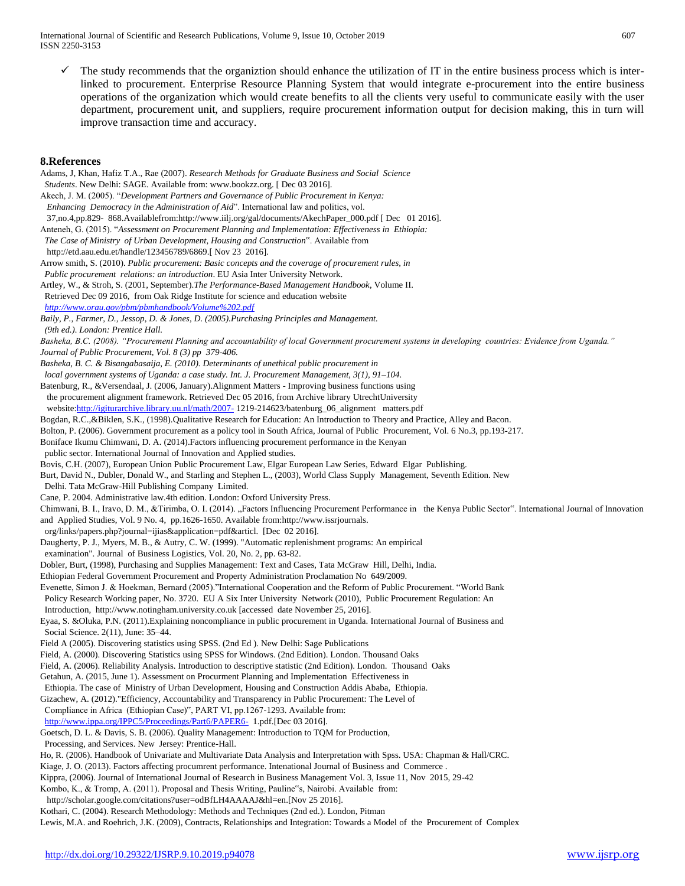The study recommends that the organiztion should enhance the utilization of IT in the entire business process which is interlinked to procurement. Enterprise Resource Planning System that would integrate e-procurement into the entire business operations of the organization which would create benefits to all the clients very useful to communicate easily with the user department, procurement unit, and suppliers, require procurement information output for decision making, this in turn will improve transaction time and accuracy.

#### **8.References**

Adams, J, Khan, Hafiz T.A., Rae (2007). *Research Methods for Graduate Business and Social Science Students*. New Delhi: SAGE. Available from: www.bookzz.org. [ Dec 03 2016]. Akech, J. M. (2005). "*Development Partners and Governance of Public Procurement in Kenya: Enhancing Democracy in the Administration of Aid*". International law and politics, vol. 37,no.4,pp.829- 868.Availablefrom:http://www.iilj.org/gal/documents/AkechPaper\_000.pdf [ Dec 01 2016]. Anteneh, G. (2015). "*Assessment on Procurement Planning and Implementation: Effectiveness in Ethiopia: The Case of Ministry of Urban Development, Housing and Construction*". Available from http://etd.aau.edu.et/handle/123456789/6869.[ Nov 23 2016]. Arrow smith, S. (2010). *Public procurement: Basic concepts and the coverage of procurement rules, in Public procurement relations: an introduction*. EU Asia Inter University Network. Artley, W., & Stroh, S. (2001, September).*The Performance-Based Management Handbook*, Volume II. Retrieved Dec 09 2016, from Oak Ridge Institute for science and education website  *<http://www.orau.gov/pbm/pbmhandbook/Volume%202.pdf> Baily, P., Farmer, D., Jessop, D. & Jones, D. (2005).Purchasing Principles and Management. (9th ed.). London: Prentice Hall. Basheka, B.C. (2008). "Procurement Planning and accountability of local Government procurement systems in developing countries: Evidence from Uganda." Journal of Public Procurement, Vol. 8 (3) pp 379-406. Basheka, B. C. & Bisangabasaija, E. (2010). Determinants of unethical public procurement in local government systems of Uganda: a case study. Int. J. Procurement Management, 3(1), 91–104.* Batenburg, R., &Versendaal, J. (2006, January).Alignment Matters - Improving business functions using the procurement alignment framework. Retrieved Dec 05 2016, from Archive library UtrechtUniversity websit[e:http://igiturarchive.library.uu.nl/math/2007-](http://igiturarchive.library.uu.nl/math/2007-) 1219-214623/batenburg\_06\_alignment matters.pdf Bogdan, R.C.,&Biklen, S.K., (1998).Qualitative Research for Education: An Introduction to Theory and Practice, Alley and Bacon. Bolton, P. (2006). Government procurement as a policy tool in South Africa, Journal of Public Procurement, Vol. 6 No.3, pp.193-217. Boniface Ikumu Chimwani, D. A. (2014).Factors influencing procurement performance in the Kenyan public sector. International Journal of Innovation and Applied studies. Bovis, C.H. (2007), European Union Public Procurement Law, Elgar European Law Series, Edward Elgar Publishing. Burt, David N., Dubler, Donald W., and Starling and Stephen L., (2003), World Class Supply Management, Seventh Edition. New Delhi. Tata McGraw-Hill Publishing Company Limited. Cane, P. 2004. Administrative law.4th edition. London: Oxford University Press. Chimwani, B. I., Iravo, D. M., &Tirimba, O. I. (2014). "Factors Influencing Procurement Performance in the Kenya Public Sector". International Journal of Innovation and Applied Studies, Vol. 9 No. 4, pp.1626-1650. Available from:http://www.issrjournals. org/links/papers.php?journal=ijias&application=pdf&articl. [Dec 02 2016]. Daugherty, P. J., Myers, M. B., & Autry, C. W. (1999). "Automatic replenishment programs: An empirical examination". Journal of Business Logistics, Vol. 20, No. 2, pp. 63-82. Dobler, Burt, (1998), Purchasing and Supplies Management: Text and Cases, Tata McGraw Hill, Delhi, India. Ethiopian Federal Government Procurement and Property Administration Proclamation No 649/2009. Evenette, Simon J. & Hoekman, Bernard (2005)."International Cooperation and the Reform of Public Procurement. "World Bank Policy Research Working paper, No. 3720. EU A Six Inter University Network (2010), Public Procurement Regulation: An Introduction, http://www.notingham.university.co.uk [accessed date November 25, 2016]. Eyaa, S. &Oluka, P.N. (2011).Explaining noncompliance in public procurement in Uganda. International Journal of Business and Social Science. 2(11), June: 35–44. Field A (2005). Discovering statistics using SPSS. (2nd Ed ). New Delhi: Sage Publications Field, A. (2000). Discovering Statistics using SPSS for Windows. (2nd Edition). London. Thousand Oaks Field, A. (2006). Reliability Analysis. Introduction to descriptive statistic (2nd Edition). London. Thousand Oaks Getahun, A. (2015, June 1). Assessment on Procurment Planning and Implementation Effectiveness in Ethiopia. The case of Ministry of Urban Development, Housing and Construction Addis Ababa, Ethiopia. Gizachew, A. (2012)."Efficiency, Accountability and Transparency in Public Procurement: The Level of Compliance in Africa (Ethiopian Case)", PART VI, pp.1267-1293. Available from: <http://www.ippa.org/IPPC5/Proceedings/Part6/PAPER6->1.pdf.[Dec 03 2016]. Goetsch, D. L. & Davis, S. B. (2006). Quality Management: Introduction to TQM for Production, Processing, and Services. New Jersey: Prentice-Hall. Ho, R. (2006). Handbook of Univariate and Multivariate Data Analysis and Interpretation with Spss. USA: Chapman & Hall/CRC. Kiage, J. O. (2013). Factors affecting procumrent performance. Intenational Journal of Business and Commerce . Kippra, (2006). Journal of International Journal of Research in Business Management Vol. 3, Issue 11, Nov 2015, 29-42 Kombo, K., & Tromp, A. (2011). Proposal and Thesis Writing, Pauline"s, Nairobi. Available from: http://scholar.google.com/citations?user=odBfLH4AAAAJ&hl=en.[Nov 25 2016]. Kothari, C. (2004). Research Methodology: Methods and Techniques (2nd ed.). London, Pitman

Lewis, M.A. and Roehrich, J.K. (2009), Contracts, Relationships and Integration: Towards a Model of the Procurement of Complex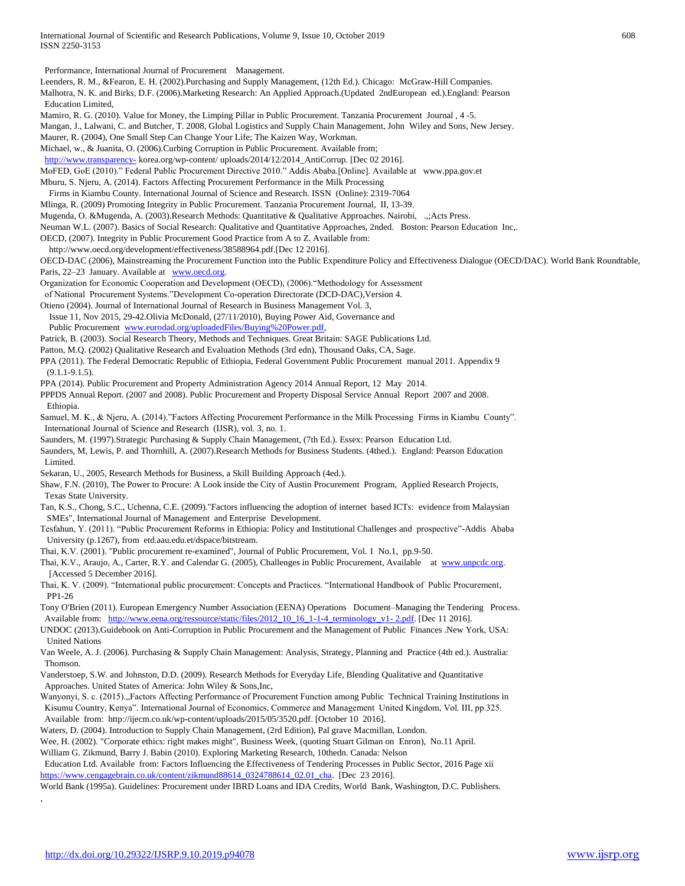Performance, International Journal of Procurement Management.

- Leenders, R. M., &Fearon, E. H. (2002).Purchasing and Supply Management, (12th Ed.). Chicago: McGraw-Hill Companies.
- Malhotra, N. K. and Birks, D.F. (2006).Marketing Research: An Applied Approach.(Updated 2ndEuropean ed.).England: Pearson Education Limited,
- Mamiro, R. G. (2010). Value for Money, the Limping Pillar in Public Procurement. Tanzania Procurement Journal , 4 -5.
- Mangan, J., Lalwani, C. and Butcher, T. 2008, Global Logistics and Supply Chain Management, John Wiley and Sons, New Jersey.
- Maurer, R. (2004), One Small Step Can Change Your Life; The Kaizen Way, Workman.
- Michael, w., & Juanita, O. (2006).Curbing Corruption in Public Procurement. Available from;
- [http://www.transparency-](http://www.transparency-/) korea.org/wp-content/ uploads/2014/12/2014\_AntiCorrup. [Dec 02 2016].
- MoFED, GoE (2010)." Federal Public Procurement Directive 2010." Addis Ababa.[Online]. Available at www.ppa.gov.et
- Mburu, S. Njeru, A. (2014). Factors Affecting Procurement Performance in the Milk Processing
- Firms in Kiambu County. International Journal of Science and Research. ISSN (Online): 2319-7064
- Mlinga, R. (2009) Promoting Integrity in Public Procurement. Tanzania Procurement Journal, II, 13-39.
- Mugenda, O. &Mugenda, A. (2003).Research Methods: Quantitative & Qualitative Approaches. Nairobi, .,;Acts Press.
- Neuman W.L. (2007). Basics of Social Research: Qualitative and Quantitative Approaches, 2nded. Boston: Pearson Education Inc,.
- OECD, (2007). Integrity in Public Procurement Good Practice from A to Z. Available from:
- http://www.oecd.org/development/effectiveness/38588964.pdf.[Dec 12 2016].
- OECD-DAC (2006), Mainstreaming the Procurement Function into the Public Expenditure Policy and Effectiveness Dialogue (OECD/DAC). World Bank Roundtable, Paris, 22-23 January. Available at [www.oecd.org.](http://www.oecd.org/)
- Organization for Economic Cooperation and Development (OECD), (2006)."Methodology for Assessment
- of National Procurement Systems."Development Co-operation Directorate (DCD-DAC),Version 4.
- Otieno (2004). Journal of International Journal of Research in Business Management Vol. 3,
- Issue 11, Nov 2015, 29-42.Olivia McDonald, (27/11/2010), Buying Power Aid, Governance and
- Public Procurement [www.eurodad.org/uploadedFiles/Buying%20Power.pdf,](http://www.eurodad.org/uploadedFiles/Buying%20Power.pdf)
- Patrick, B. (2003). Social Research Theory, Methods and Techniques. Great Britain: SAGE Publications Ltd.
- Patton, M.Q. (2002) Qualitative Research and Evaluation Methods (3rd edn), Thousand Oaks, CA, Sage.
- PPA (2011). The Federal Democratic Republic of Ethiopia, Federal Government Public Procurement manual 2011. Appendix 9  $(9.1.1 - 9.1.5)$ .
- PPA (2014). Public Procurement and Property Administration Agency 2014 Annual Report, 12 May 2014.
- PPPDS Annual Report. (2007 and 2008). Public Procurement and Property Disposal Service Annual Report 2007 and 2008. Ethiopia.
- Samuel, M. K., & Njeru, A. (2014)."Factors Affecting Procurement Performance in the Milk Processing Firms in Kiambu County". International Journal of Science and Research (IJSR), vol. 3, no. 1.
- Saunders, M. (1997).Strategic Purchasing & Supply Chain Management, (7th Ed.). Essex: Pearson Education Ltd.
- Saunders, M, Lewis, P. and Thornhill, A. (2007).Research Methods for Business Students. (4thed.). England: Pearson Education Limited.
- Sekaran, U., 2005, Research Methods for Business, a Skill Building Approach (4ed.).
- Shaw, F.N. (2010), The Power to Procure: A Look inside the City of Austin Procurement Program, Applied Research Projects, Texas State University.
- Tan, K.S., Chong, S.C., Uchenna, C.E. (2009)."Factors influencing the adoption of internet based ICTs: evidence from Malaysian SMEs", International Journal of Management and Enterprise Development.
- Tesfahun, Y. (2011). "Public Procurement Reforms in Ethiopia: Policy and Institutional Challenges and prospective"-Addis Ababa University (p.1267), from etd.aau.edu.et/dspace/bitstream.
- Thai, K.V. (2001). "Public procurement re-examined", Journal of Public Procurement, Vol. 1 No.1, pp.9-50.
- Thai, K.V., Araujo, A., Carter, R.Y. and Calendar G. (2005), Challenges in Public Procurement, Available at [www.unpcdc.org.](http://www.unpcdc.org/)  [Accessed 5 December 2016].
- Thai, K. V. (2009). "International public procurement: Concepts and Practices. "International Handbook of Public Procurement, PP1-26
- Tony O'Brien (2011). European Emergency Number Association (EENA) Operations Document–Managing the Tendering Process. Available from: [http://www.eena.org/ressource/static/files/2012\\_10\\_16\\_1-1-4\\_terminology\\_v1-](http://www.eena.org/ressource/static/files/2012_10_16_1-1-4_terminology_v1-%202.pdf)2.pdf. [Dec 11 2016].
- UNDOC (2013).Guidebook on Anti-Corruption in Public Procurement and the Management of Public Finances .New York, USA: United Nations
- Van Weele, A. J. (2006). Purchasing & Supply Chain Management: Analysis, Strategy, Planning and Practice (4th ed.). Australia: Thomson.
- Vanderstoep, S.W. and Johnston, D.D. (2009). Research Methods for Everyday Life, Blending Qualitative and Quantitative Approaches. United States of America: John Wiley & Sons,Inc,
- Wanyonyi, S. c. (2015)., Factors Affecting Performance of Procurement Function among Public Technical Training Institutions in Kisumu Country, Kenya". International Journal of Economics, Commerce and Management United Kingdom, Vol. III, pp.325. Available from: http://ijecm.co.uk/wp-content/uploads/2015/05/3520.pdf. [October 10 2016].
- Waters, D. (2004). Introduction to Supply Chain Management, (2rd Edition), Pal grave Macmillan, London.
- Wee, H. (2002). "Corporate ethics: right makes might", Business Week, (quoting Stuart Gilman on Enron), No.11 April. William G. Zikmund, Barry J. Babin (2010). Exploring Marketing Research, 10thedn. Canada: Nelson
- Education Ltd. Available from: Factors Influencing the Effectiveness of Tendering Processes in Public Sector, 2016 Page xii [https://www.cengagebrain.co.uk/content/zikmund88614\\_0324788614\\_02.01\\_cha.](https://www.cengagebrain.co.uk/content/zikmund88614_0324788614_02.01_cha) [Dec 23 2016].
- World Bank (1995a). Guidelines: Procurement under IBRD Loans and IDA Credits, World Bank, Washington, D.C. Publishers.

.